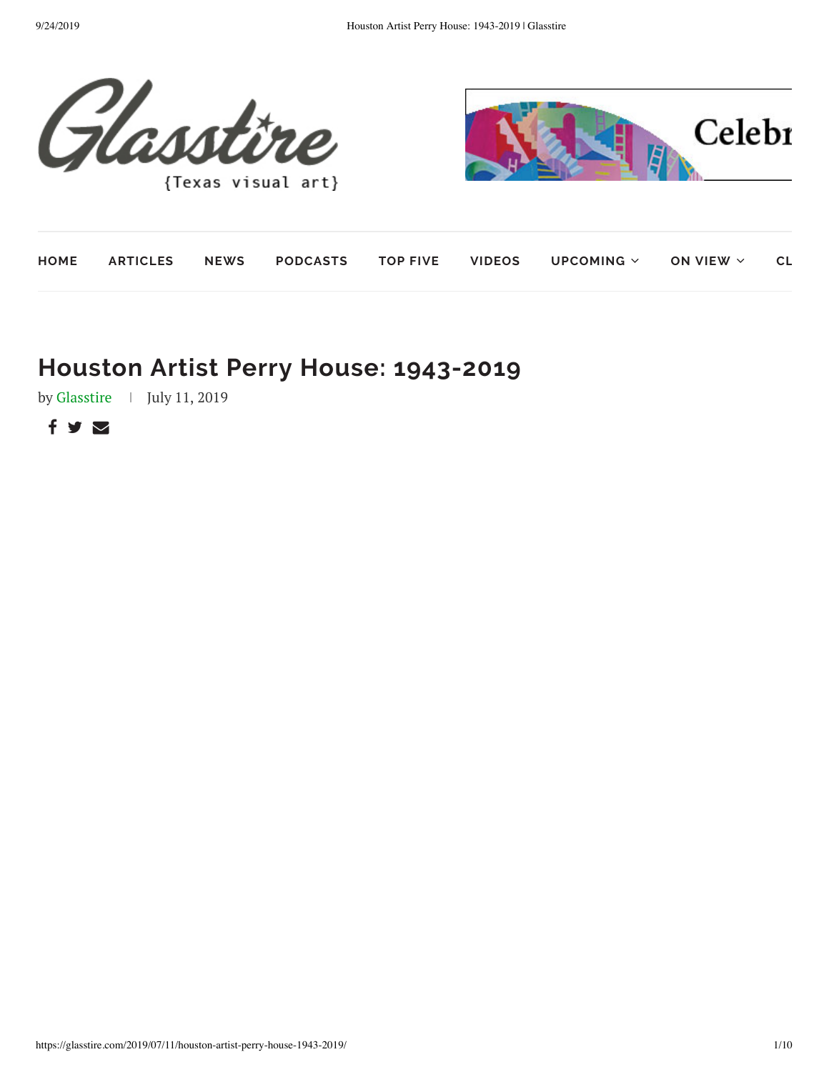

| HOME |  |  | <code>ARTICLES NEWS PODCASTS TOP</code> FIVE VIDEOS UPCOMING $\small{\vee}$ ON VIEW $\small{\vee}$ CL |  |
|------|--|--|-------------------------------------------------------------------------------------------------------|--|

# **Houston Artist Perry House: 1943-2019**

by [Glasstire](https://glasstire.com/author/glasstire/) | July 11, 2019

 $f \times \nabla$ 

Celebr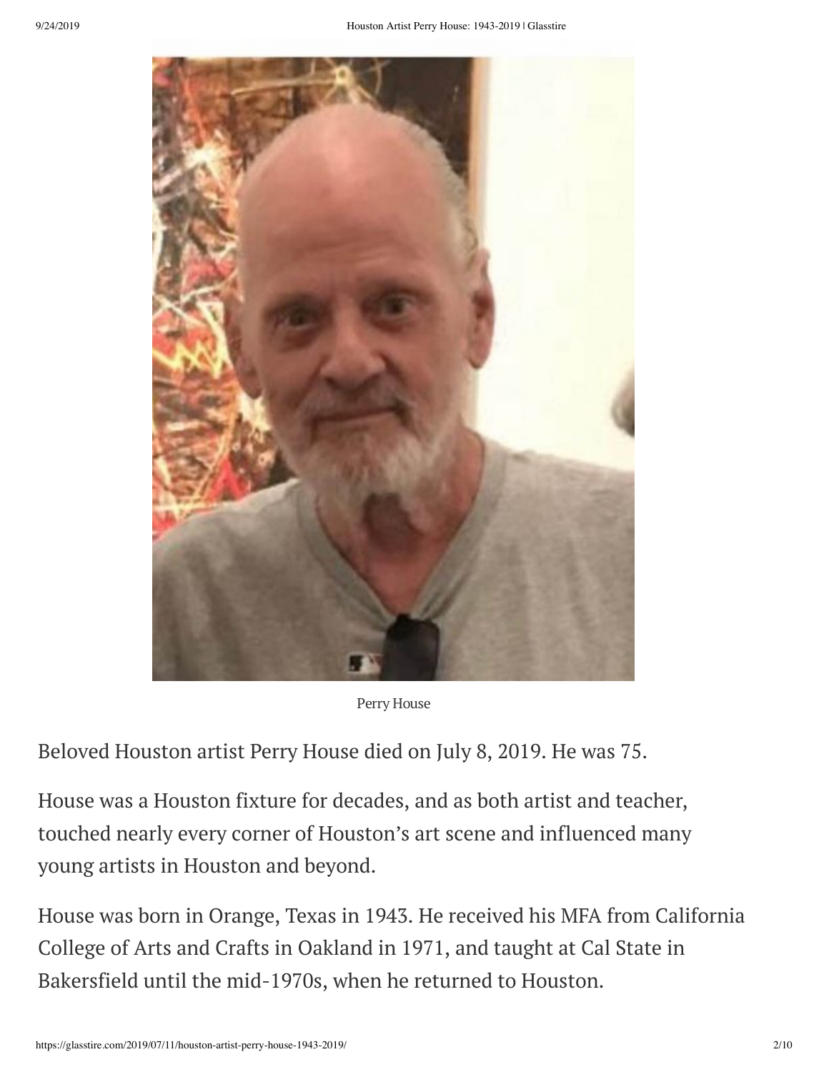

Perry House

Beloved Houston artist Perry House died on July 8, 2019. He was 75.

House was a Houston fixture for decades, and as both artist and teacher, touched nearly every corner of Houston's art scene and influenced many young artists in Houston and beyond.

House was born in Orange, Texas in 1943. He received his MFA from California College of Arts and Crafts in Oakland in 1971, and taught at Cal State in Bakersfield until the mid-1970s, when he returned to Houston.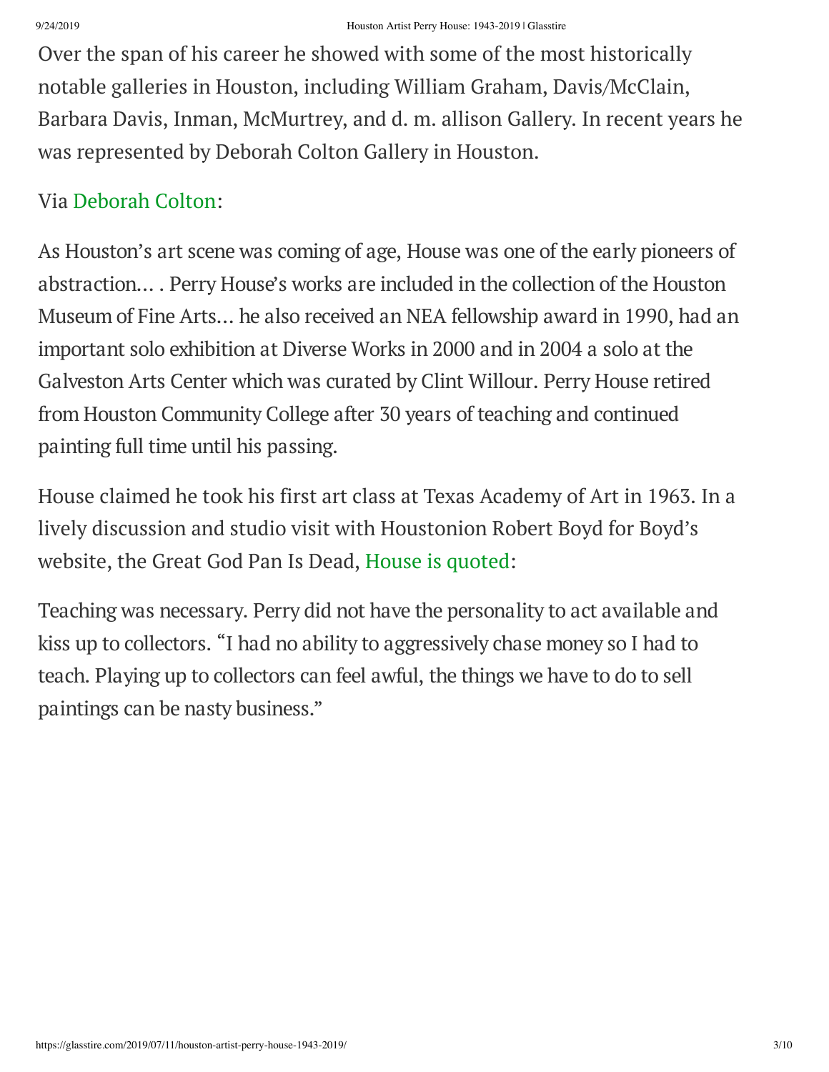Over the span of his career he showed with some of the most historically notable galleries in Houston, including William Graham, Davis/McClain, Barbara Davis, Inman, McMurtrey, and d. m. allison Gallery. In recent years he was represented by Deborah Colton Gallery in Houston.

## Via [Deborah](http://www.deborahcoltongallery.com/International/sites/default/files/Perry_House_bio.pdf) Colton:

As Houston's art scene was coming of age, House was one of the early pioneers of abstraction… . Perry House's works are included in the collection of the Houston Museum of Fine Arts… he also received an NEA fellowship award in 1990, had an important solo exhibition at Diverse Works in 2000 and in 2004 a solo at the Galveston Arts Center which was curated by Clint Willour. Perry House retired from Houston Community College after 30 years of teaching and continued painting full time until his passing.

House claimed he took his first art class at Texas Academy of Art in 1963. In a lively discussion and studio visit with Houstonion Robert Boyd for Boyd's website, the Great God Pan Is Dead, House is [quoted](http://www.thegreatgodpanisdead.com/2012/05/studio-visit-perry-house.html):

Teaching was necessary. Perry did not have the personality to act available and kiss up to collectors. "I had no ability to aggressively chase money so I had to teach. Playing up to collectors can feel awful, the things we have to do to sell paintings can be nasty business."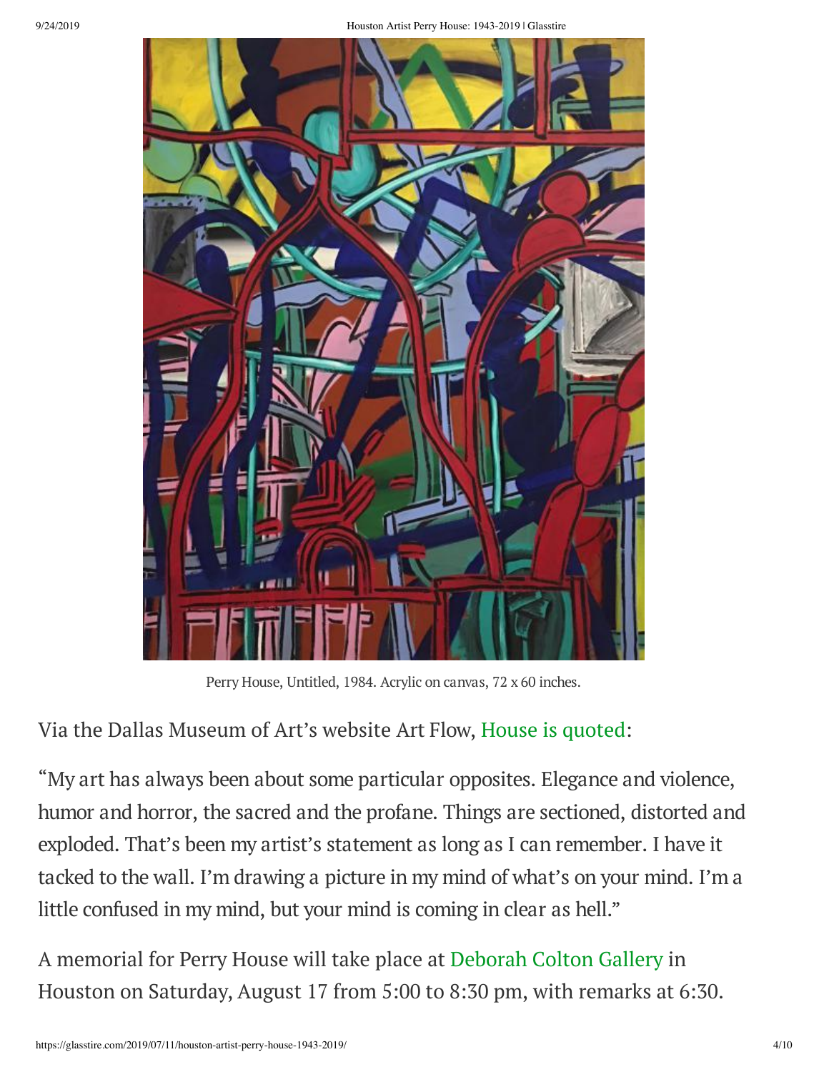

Perry House, Untitled, 1984. Acrylic on canvas, 72 x 60 inches.

Via the Dallas Museum of Art's website Art Flow, House is [quoted](https://www.dma-art.com/perry-house):

"My art has always been about some particular opposites. Elegance and violence, humor and horror, the sacred and the profane. Things are sectioned, distorted and exploded. That's been my artist's statement as long as I can remember. I have it tacked to the wall. I'm drawing a picture in my mind of what's on your mind. I'm a little confused in my mind, but your mind is coming in clear as hell."

A memorial for Perry House will take place at [Deborah](http://www.deborahcoltongallery.com/International/front) Colton Gallery in Houston on Saturday, August 17 from 5:00 to 8:30 pm, with remarks at 6:30.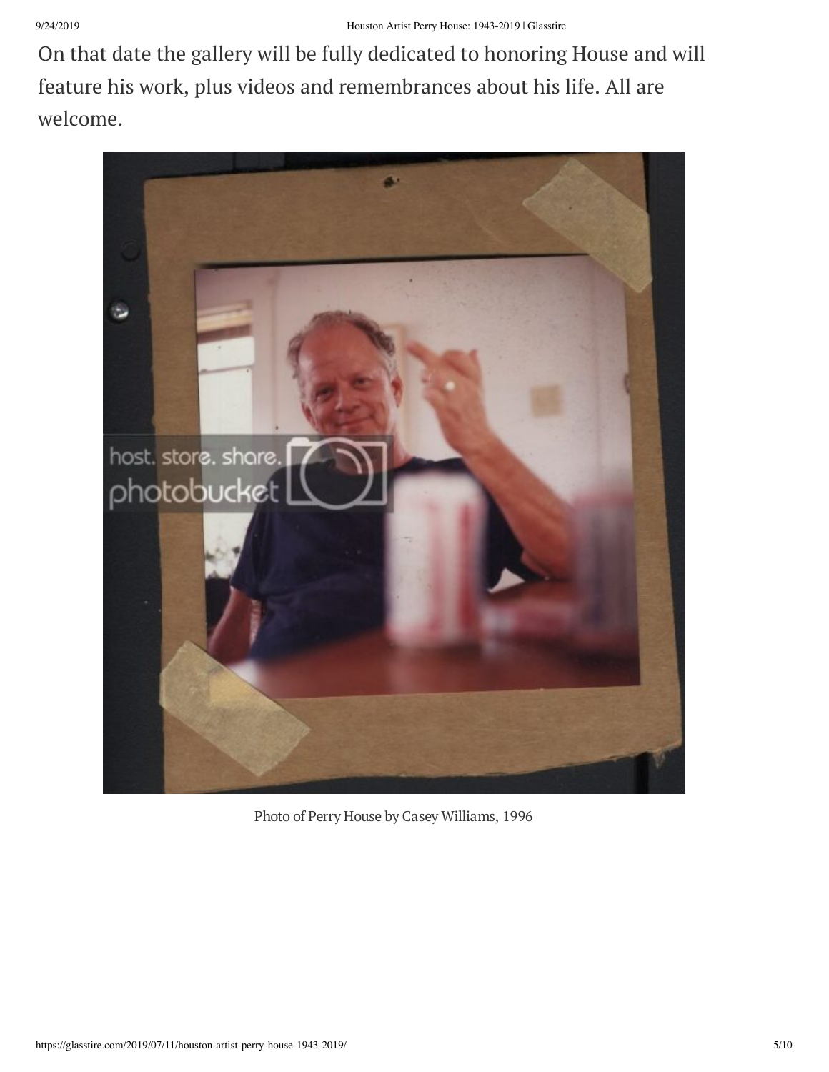On that date the gallery will be fully dedicated to honoring House and will feature his work, plus videos and remembrances about his life. All are welcome.



Photo of Perry House by Casey Williams, 1996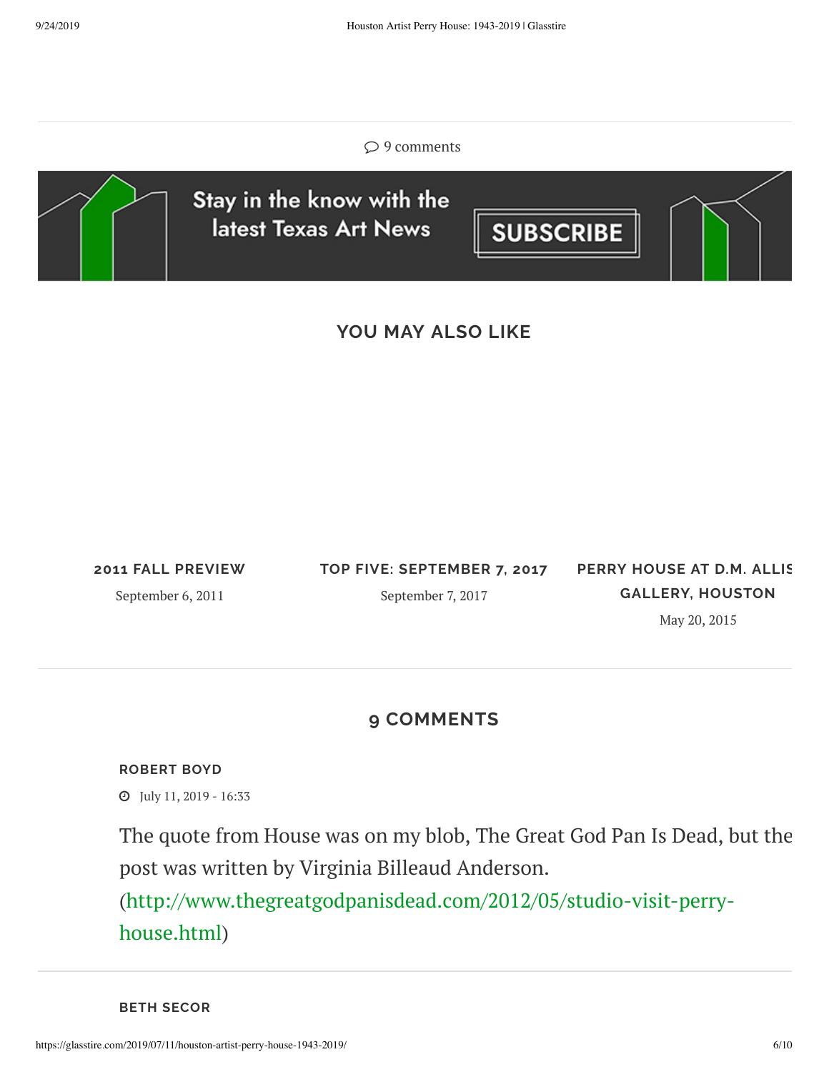#### $\circ$  9 comments



## **YOU MAY ALSO LIKE**

**2011 FALL [PREVIEW](https://glasstire.com/2011/09/06/2011-fall-preview/)**

September 6, 2011

**TOP FIVE: [SEPTEMBER](https://glasstire.com/2017/09/07/top-five-september-7-2017/) 7, 2017** September 7, 2017

**PERRY HOUSE AT D.M. ALLIS GALLERY, [HOUSTON](https://glasstire.com/2015/05/20/perry-house-at-d-m-allison-gallery-houston/)**

May 20, 2015

### **9 COMMENTS**

#### **[ROBERT](http://www.thegreatgodpanisdead.com/) BOYD**

July 11, 2019 - 16:33

The quote from House was on my blob, The Great God Pan Is Dead, but the post was written by Virginia Billeaud Anderson.

[\(http://www.thegreatgodpanisdead.com/2012/05/studio-visit-perry](http://www.thegreatgodpanisdead.com/2012/05/studio-visit-perry-house.html)house.html)

**BETH SECOR**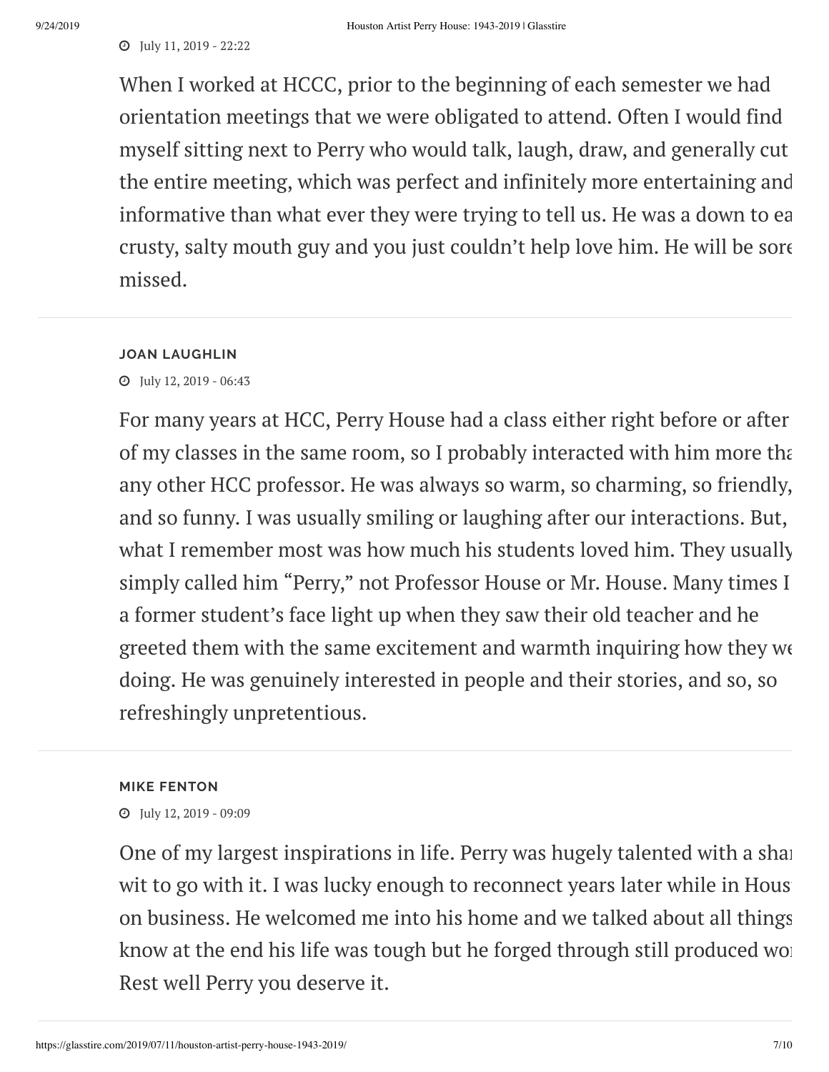#### July 11, 2019 - 22:22

When I worked at HCCC, prior to the beginning of each semester we had orientation meetings that we were obligated to attend. Often I would find myself sitting next to Perry who would talk, laugh, draw, and generally cut the entire meeting, which was perfect and infinitely more entertaining and informative than what ever they were trying to tell us. He was a down to ea crusty, salty mouth guy and you just couldn't help love him. He will be sore missed.

#### **JOAN LAUGHLIN**

July 12, 2019 - 06:43

For many years at HCC, Perry House had a class either right before or after of my classes in the same room, so I probably interacted with him more tha any other HCC professor. He was always so warm, so charming, so friendly, and so funny. I was usually smiling or laughing after our interactions. But, what I remember most was how much his students loved him. They usually simply called him "Perry," not Professor House or Mr. House. Many times I a former student's face light up when they saw their old teacher and he greeted them with the same excitement and warmth inquiring how they we doing. He was genuinely interested in people and their stories, and so, so refreshingly unpretentious.

#### **MIKE FENTON**

July 12, 2019 - 09:09

One of my largest inspirations in life. Perry was hugely talented with a share wit to go with it. I was lucky enough to reconnect years later while in Hous on business. He welcomed me into his home and we talked about all things know at the end his life was tough but he forged through still produced wor Rest well Perry you deserve it.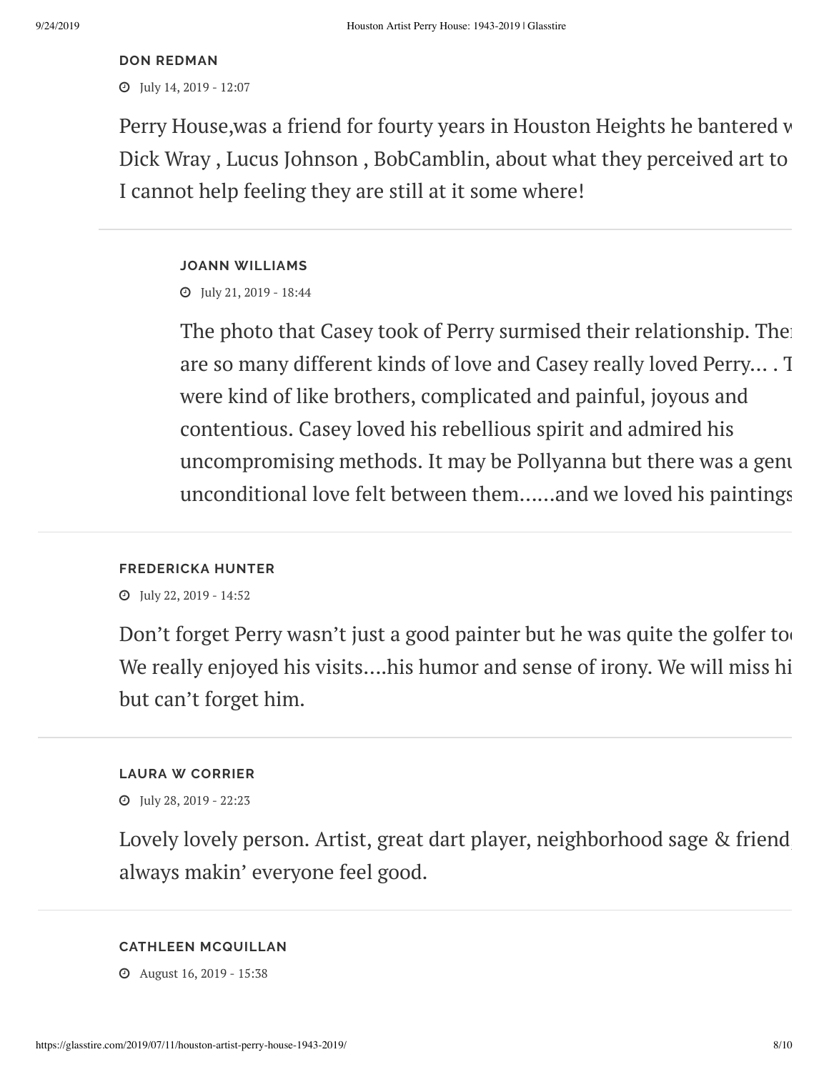#### **DON [REDMAN](http://do%20redman.com/)**

July 14, 2019 - 12:07

Perry House,was a friend for fourty years in Houston Heights he bantered w Dick Wray , Lucus Johnson , BobCamblin, about what they perceived art to I cannot help feeling they are still at it some where!

#### **JOANN WILLIAMS**

July 21, 2019 - 18:44

The photo that Casey took of Perry surmised their relationship. The are so many different kinds of love and Casey really loved Perry… . T were kind of like brothers, complicated and painful, joyous and contentious. Casey loved his rebellious spirit and admired his uncompromising methods. It may be Pollyanna but there was a genu unconditional love felt between them……and we loved his paintings

#### **FREDERICKA HUNTER**

July 22, 2019 - 14:52

Don't forget Perry wasn't just a good painter but he was quite the golfer to We really enjoyed his visits….his humor and sense of irony. We will miss hi but can't forget him.

#### **LAURA W CORRIER**

July 28, 2019 - 22:23

Lovely lovely person. Artist, great dart player, neighborhood sage & friend always makin' everyone feel good.

#### **CATHLEEN MCQUILLAN**

August 16, 2019 - 15:38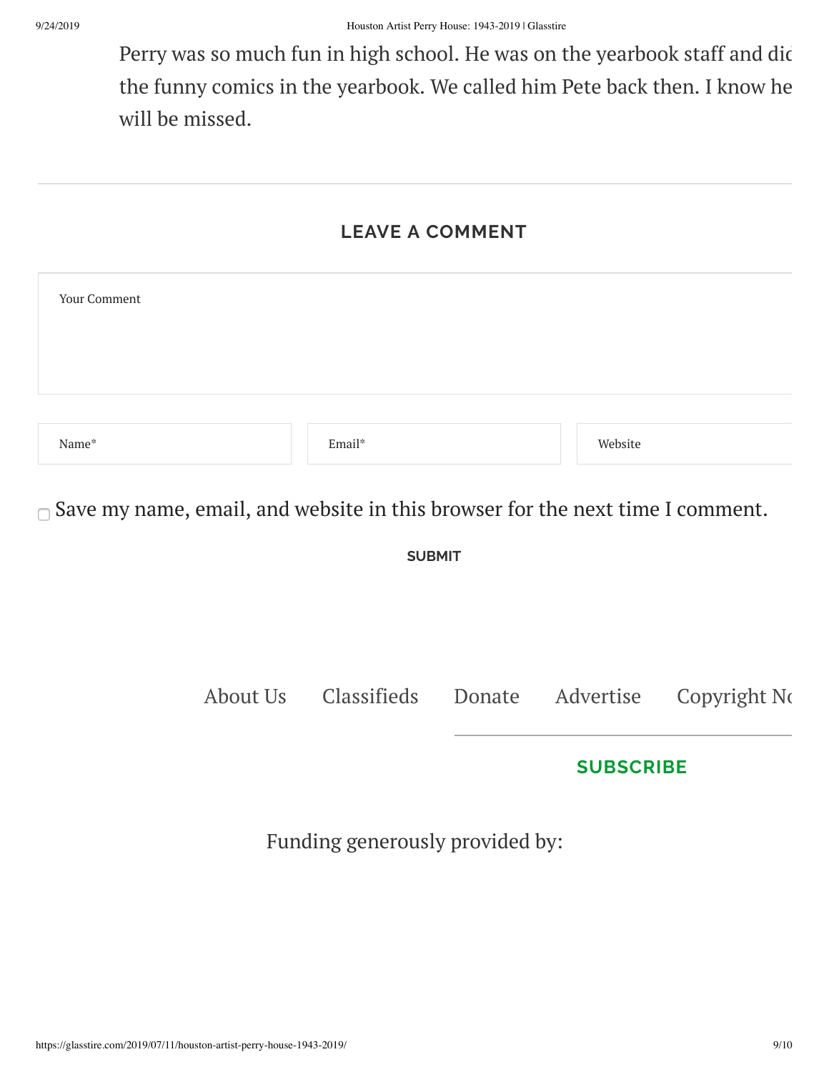Perry was so much fun in high school. He was on the yearbook staff and dic the funny comics in the yearbook. We called him Pete back then. I know he will be missed.

## **LEAVE A COMMENT**

| Your Comment |        |         |
|--------------|--------|---------|
|              |        |         |
| Name*        | Email* | Website |

 $\Box$  Save my name, email, and website in this browser for the next time I comment.

**SUBMIT**

[About](https://glasstire.com/about-us/) Us [Classifieds](https://glasstire.com/classifieds/) [Donate](https://glasstire.com/donate/) [Advertise](https://glasstire.com/advertise/) [Copyright](https://glasstire.com/copyright-notice/) No

### **[SUBSCRIBE](https://glasstire.com/2019/07/11/houston-artist-perry-house-1943-2019/subscribe/)**

Funding generously provided by: